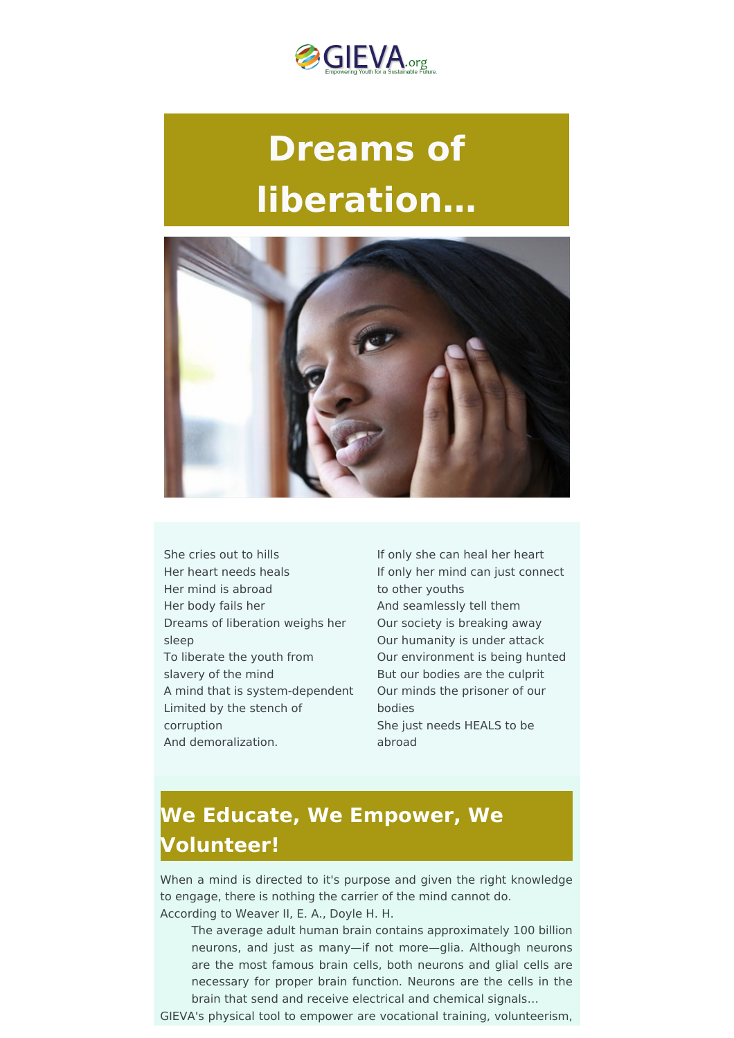

## **Dreams of liberation…**



She cries out to hills Her heart needs heals Her mind is abroad Her body fails her Dreams of liberation weighs her sleep To liberate the youth from slavery of the mind A mind that is system-dependent Limited by the stench of corruption And demoralization.

If only she can heal her heart If only her mind can just connect to other youths And seamlessly tell them Our society is breaking away Our humanity is under attack Our environment is being hunted But our bodies are the culprit Our minds the prisoner of our bodies She just needs HEALS to be abroad

## **We Educate, We Empower, We Volunteer!**

When a mind is directed to it's purpose and given the right knowledge to engage, there is nothing the carrier of the mind cannot do. According to Weaver II, E. A., Doyle H. H.

The average adult human brain contains approximately 100 billion neurons, and just as many—if not more—glia. Although neurons are the most famous brain cells, both neurons and glial cells are necessary for proper brain function. Neurons are the cells in the brain that send and receive electrical and chemical signals…

GIEVA's physical tool to empower are vocational training, volunteerism,